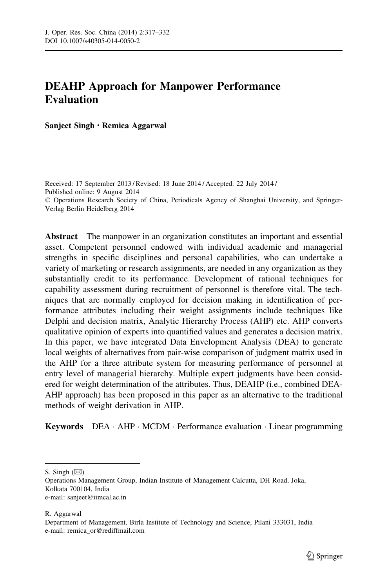# DEAHP Approach for Manpower Performance Evaluation

Sanjeet Singh • Remica Aggarwal

Received: 17 September 2013 / Revised: 18 June 2014 / Accepted: 22 July 2014 / Published online: 9 August 2014 - Operations Research Society of China, Periodicals Agency of Shanghai University, and Springer-Verlag Berlin Heidelberg 2014

Abstract The manpower in an organization constitutes an important and essential asset. Competent personnel endowed with individual academic and managerial strengths in specific disciplines and personal capabilities, who can undertake a variety of marketing or research assignments, are needed in any organization as they substantially credit to its performance. Development of rational techniques for capability assessment during recruitment of personnel is therefore vital. The techniques that are normally employed for decision making in identification of performance attributes including their weight assignments include techniques like Delphi and decision matrix, Analytic Hierarchy Process (AHP) etc. AHP converts qualitative opinion of experts into quantified values and generates a decision matrix. In this paper, we have integrated Data Envelopment Analysis (DEA) to generate local weights of alternatives from pair-wise comparison of judgment matrix used in the AHP for a three attribute system for measuring performance of personnel at entry level of managerial hierarchy. Multiple expert judgments have been considered for weight determination of the attributes. Thus, DEAHP (i.e., combined DEA-AHP approach) has been proposed in this paper as an alternative to the traditional methods of weight derivation in AHP.

Keywords DEA · AHP · MCDM · Performance evaluation · Linear programming

R. Aggarwal

S. Singh  $(\boxtimes)$ 

Operations Management Group, Indian Institute of Management Calcutta, DH Road, Joka, Kolkata 700104, India e-mail: sanjeet@iimcal.ac.in

Department of Management, Birla Institute of Technology and Science, Pilani 333031, India e-mail: remica\_or@rediffmail.com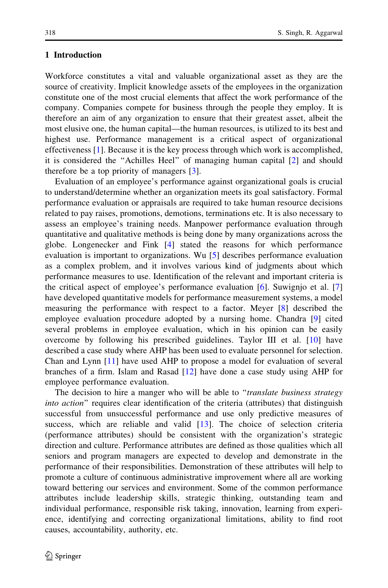#### 1 Introduction

Workforce constitutes a vital and valuable organizational asset as they are the source of creativity. Implicit knowledge assets of the employees in the organization constitute one of the most crucial elements that affect the work performance of the company. Companies compete for business through the people they employ. It is therefore an aim of any organization to ensure that their greatest asset, albeit the most elusive one, the human capital—the human resources, is utilized to its best and highest use. Performance management is a critical aspect of organizational effectiveness [[1](#page-14-0)]. Because it is the key process through which work is accomplished, it is considered the ''Achilles Heel'' of managing human capital [\[2](#page-14-0)] and should therefore be a top priority of managers [\[3](#page-14-0)].

Evaluation of an employee's performance against organizational goals is crucial to understand/determine whether an organization meets its goal satisfactory. Formal performance evaluation or appraisals are required to take human resource decisions related to pay raises, promotions, demotions, terminations etc. It is also necessary to assess an employee's training needs. Manpower performance evaluation through quantitative and qualitative methods is being done by many organizations across the globe. Longenecker and Fink [[4\]](#page-14-0) stated the reasons for which performance evaluation is important to organizations. Wu [\[5](#page-14-0)] describes performance evaluation as a complex problem, and it involves various kind of judgments about which performance measures to use. Identification of the relevant and important criteria is the critical aspect of employee's performance evaluation [[6\]](#page-14-0). Suwignjo et al. [\[7](#page-14-0)] have developed quantitative models for performance measurement systems, a model measuring the performance with respect to a factor. Meyer [[8](#page-14-0)] described the employee evaluation procedure adopted by a nursing home. Chandra [\[9](#page-14-0)] cited several problems in employee evaluation, which in his opinion can be easily overcome by following his prescribed guidelines. Taylor III et al. [\[10](#page-14-0)] have described a case study where AHP has been used to evaluate personnel for selection. Chan and Lynn [\[11](#page-14-0)] have used AHP to propose a model for evaluation of several branches of a firm. Islam and Rasad [[12\]](#page-14-0) have done a case study using AHP for employee performance evaluation.

The decision to hire a manger who will be able to "translate business strategy into action'' requires clear identification of the criteria (attributes) that distinguish successful from unsuccessful performance and use only predictive measures of success, which are reliable and valid [\[13](#page-14-0)]. The choice of selection criteria (performance attributes) should be consistent with the organization's strategic direction and culture. Performance attributes are defined as those qualities which all seniors and program managers are expected to develop and demonstrate in the performance of their responsibilities. Demonstration of these attributes will help to promote a culture of continuous administrative improvement where all are working toward bettering our services and environment. Some of the common performance attributes include leadership skills, strategic thinking, outstanding team and individual performance, responsible risk taking, innovation, learning from experience, identifying and correcting organizational limitations, ability to find root causes, accountability, authority, etc.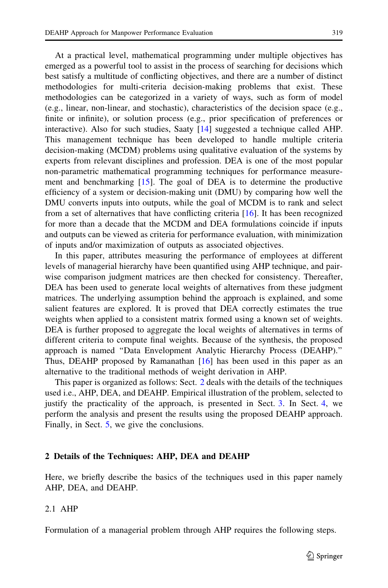At a practical level, mathematical programming under multiple objectives has emerged as a powerful tool to assist in the process of searching for decisions which best satisfy a multitude of conflicting objectives, and there are a number of distinct methodologies for multi-criteria decision-making problems that exist. These methodologies can be categorized in a variety of ways, such as form of model (e.g., linear, non-linear, and stochastic), characteristics of the decision space (e.g., finite or infinite), or solution process (e.g., prior specification of preferences or interactive). Also for such studies, Saaty [[14\]](#page-14-0) suggested a technique called AHP. This management technique has been developed to handle multiple criteria decision-making (MCDM) problems using qualitative evaluation of the systems by experts from relevant disciplines and profession. DEA is one of the most popular non-parametric mathematical programming techniques for performance measurement and benchmarking [[15\]](#page-14-0). The goal of DEA is to determine the productive efficiency of a system or decision-making unit (DMU) by comparing how well the DMU converts inputs into outputs, while the goal of MCDM is to rank and select from a set of alternatives that have conflicting criteria [[16\]](#page-14-0). It has been recognized for more than a decade that the MCDM and DEA formulations coincide if inputs and outputs can be viewed as criteria for performance evaluation, with minimization of inputs and/or maximization of outputs as associated objectives.

In this paper, attributes measuring the performance of employees at different levels of managerial hierarchy have been quantified using AHP technique, and pairwise comparison judgment matrices are then checked for consistency. Thereafter, DEA has been used to generate local weights of alternatives from these judgment matrices. The underlying assumption behind the approach is explained, and some salient features are explored. It is proved that DEA correctly estimates the true weights when applied to a consistent matrix formed using a known set of weights. DEA is further proposed to aggregate the local weights of alternatives in terms of different criteria to compute final weights. Because of the synthesis, the proposed approach is named ''Data Envelopment Analytic Hierarchy Process (DEAHP).'' Thus, DEAHP proposed by Ramanathan [\[16\]](#page-14-0) has been used in this paper as an alternative to the traditional methods of weight derivation in AHP.

This paper is organized as follows: Sect. 2 deals with the details of the techniques used i.e., AHP, DEA, and DEAHP. Empirical illustration of the problem, selected to justify the practicality of the approach, is presented in Sect. 3. In Sect. [4](#page-3-0), we perform the analysis and present the results using the proposed DEAHP approach. Finally, in Sect. [5](#page-5-0), we give the conclusions.

#### 2 Details of the Techniques: AHP, DEA and DEAHP

Here, we briefly describe the basics of the techniques used in this paper namely AHP, DEA, and DEAHP.

## 2.1 AHP

Formulation of a managerial problem through AHP requires the following steps.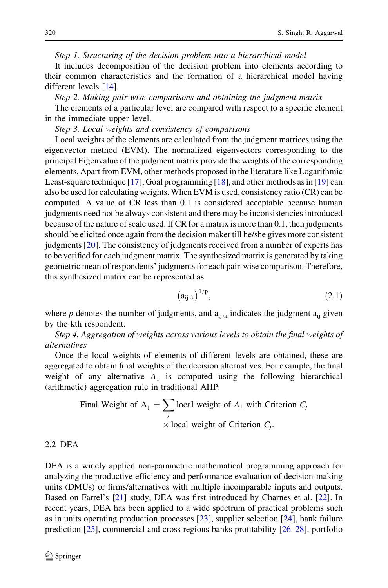<span id="page-3-0"></span>Step 1. Structuring of the decision problem into a hierarchical model

It includes decomposition of the decision problem into elements according to their common characteristics and the formation of a hierarchical model having different levels [[14\]](#page-14-0).

Step 2. Making pair-wise comparisons and obtaining the judgment matrix

The elements of a particular level are compared with respect to a specific element in the immediate upper level.

Step 3. Local weights and consistency of comparisons

Local weights of the elements are calculated from the judgment matrices using the eigenvector method (EVM). The normalized eigenvectors corresponding to the principal Eigenvalue of the judgment matrix provide the weights of the corresponding elements. Apart from EVM, other methods proposed in the literature like Logarithmic Least-square technique [[17\]](#page-14-0), Goal programming [[18\]](#page-14-0), and other methods as in [\[19](#page-14-0)] can also be used for calculating weights. When EVM is used, consistency ratio (CR) can be computed. A value of CR less than 0.1 is considered acceptable because human judgments need not be always consistent and there may be inconsistencies introduced because of the nature of scale used. If CR for a matrix is more than 0.1, then judgments should be elicited once again from the decision maker till he/she gives more consistent judgments [\[20](#page-14-0)]. The consistency of judgments received from a number of experts has to be verified for each judgment matrix. The synthesized matrix is generated by taking geometric mean of respondents' judgments for each pair-wise comparison. Therefore, this synthesized matrix can be represented as

$$
\left(a_{ij,k}\right)^{1/p},\tag{2.1}
$$

where p denotes the number of judgments, and  $a_{ijk}$  indicates the judgment  $a_{ii}$  given by the kth respondent.

Step 4. Aggregation of weights across various levels to obtain the final weights of alternatives

Once the local weights of elements of different levels are obtained, these are aggregated to obtain final weights of the decision alternatives. For example, the final weight of any alternative  $A_1$  is computed using the following hierarchical (arithmetic) aggregation rule in traditional AHP:

Final Weight of 
$$
A_1 = \sum_j \text{local weight of } A_1
$$
 with Criterion  $C_j$   
× local weight of Criterion  $C_j$ .

## 2.2 DEA

DEA is a widely applied non-parametric mathematical programming approach for analyzing the productive efficiency and performance evaluation of decision-making units (DMUs) or firms/alternatives with multiple incomparable inputs and outputs. Based on Farrel's [\[21](#page-14-0)] study, DEA was first introduced by Charnes et al. [[22\]](#page-14-0). In recent years, DEA has been applied to a wide spectrum of practical problems such as in units operating production processes [\[23](#page-14-0)], supplier selection [\[24](#page-14-0)], bank failure prediction [[25\]](#page-14-0), commercial and cross regions banks profitability [[26–](#page-14-0)[28\]](#page-15-0), portfolio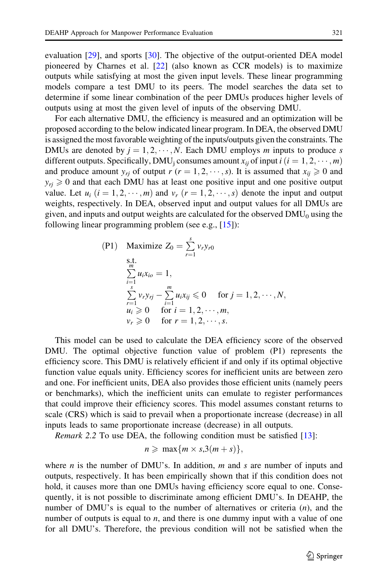evaluation [[29\]](#page-15-0), and sports [[30\]](#page-15-0). The objective of the output-oriented DEA model pioneered by Charnes et al. [[22\]](#page-14-0) (also known as CCR models) is to maximize outputs while satisfying at most the given input levels. These linear programming models compare a test DMU to its peers. The model searches the data set to determine if some linear combination of the peer DMUs produces higher levels of outputs using at most the given level of inputs of the observing DMU.

For each alternative DMU, the efficiency is measured and an optimization will be proposed according to the below indicated linear program. In DEA, the observed DMU is assigned the most favorable weighting of the inputs/outputs given the constraints. The DMUs are denoted by  $j = 1, 2, \dots, N$ . Each DMU employs m inputs to produce s different outputs. Specifically, DMU<sub>j</sub> consumes amount  $x_{ij}$  of input  $i$   $(i = 1, 2, \dots, m)$ and produce amount  $y_{rj}$  of output  $r (r = 1, 2, \dots, s)$ . It is assumed that  $x_{ij} \ge 0$  and  $y_{ri} \ge 0$  and that each DMU has at least one positive input and one positive output value. Let  $u_i$   $(i = 1, 2, \dots, m)$  and  $v_r$   $(r = 1, 2, \dots, s)$  denote the input and output weights, respectively. In DEA, observed input and output values for all DMUs are given, and inputs and output weights are calculated for the observed  $DMU_0$  using the following linear programming problem (see e.g., [[15\]](#page-14-0)):

(P1) Maximize 
$$
Z_0 = \sum_{r=1}^{s} v_r y_{r0}
$$
  
\ns.t.  
\n
$$
\sum_{i=1}^{m} u_i x_{io} = 1,
$$
\n
$$
\sum_{r=1}^{s} v_r y_{rj} - \sum_{i=1}^{m} u_i x_{ij} \le 0 \text{ for } j = 1, 2, \dots, N,
$$
\n
$$
u_i \ge 0 \text{ for } i = 1, 2, \dots, m,
$$
\n
$$
v_r \ge 0 \text{ for } r = 1, 2, \dots, s.
$$

This model can be used to calculate the DEA efficiency score of the observed DMU. The optimal objective function value of problem (P1) represents the efficiency score. This DMU is relatively efficient if and only if its optimal objective function value equals unity. Efficiency scores for inefficient units are between zero and one. For inefficient units, DEA also provides those efficient units (namely peers or benchmarks), which the inefficient units can emulate to register performances that could improve their efficiency scores. This model assumes constant returns to scale (CRS) which is said to prevail when a proportionate increase (decrease) in all inputs leads to same proportionate increase (decrease) in all outputs.

Remark 2.2 To use DEA, the following condition must be satisfied [[13\]](#page-14-0):

$$
n \geqslant \max\{m \times s, 3(m+s)\},\
$$

where *n* is the number of DMU's. In addition, *m* and *s* are number of inputs and outputs, respectively. It has been empirically shown that if this condition does not hold, it causes more than one DMUs having efficiency score equal to one. Consequently, it is not possible to discriminate among efficient DMU's. In DEAHP, the number of DMU's is equal to the number of alternatives or criteria  $(n)$ , and the number of outputs is equal to  $n$ , and there is one dummy input with a value of one for all DMU's. Therefore, the previous condition will not be satisfied when the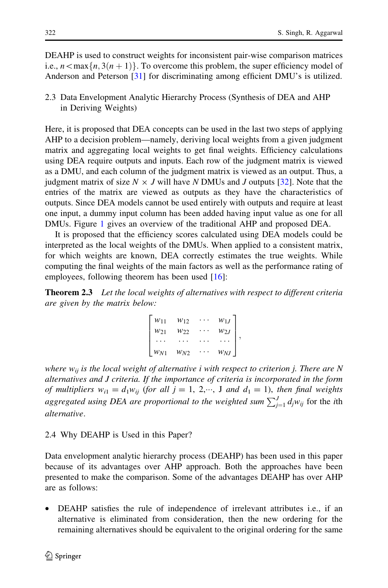<span id="page-5-0"></span>DEAHP is used to construct weights for inconsistent pair-wise comparison matrices i.e.,  $n \leq max\{ n, 3(n + 1) \}$ . To overcome this problem, the super efficiency model of Anderson and Peterson [[31\]](#page-15-0) for discriminating among efficient DMU's is utilized.

2.3 Data Envelopment Analytic Hierarchy Process (Synthesis of DEA and AHP in Deriving Weights)

Here, it is proposed that DEA concepts can be used in the last two steps of applying AHP to a decision problem—namely, deriving local weights from a given judgment matrix and aggregating local weights to get final weights. Efficiency calculations using DEA require outputs and inputs. Each row of the judgment matrix is viewed as a DMU, and each column of the judgment matrix is viewed as an output. Thus, a judgment matrix of size  $N \times J$  will have N DMUs and J outputs [\[32](#page-15-0)]. Note that the entries of the matrix are viewed as outputs as they have the characteristics of outputs. Since DEA models cannot be used entirely with outputs and require at least one input, a dummy input column has been added having input value as one for all DMUs. Figure [1](#page-6-0) gives an overview of the traditional AHP and proposed DEA.

It is proposed that the efficiency scores calculated using DEA models could be interpreted as the local weights of the DMUs. When applied to a consistent matrix, for which weights are known, DEA correctly estimates the true weights. While computing the final weights of the main factors as well as the performance rating of employees, following theorem has been used [[16\]](#page-14-0):

**Theorem 2.3** Let the local weights of alternatives with respect to different criteria are given by the matrix below:

| $W_{11}$ | W12      | $w_{1J}$ |  |
|----------|----------|----------|--|
| $W_{21}$ | W22      | $w_{2J}$ |  |
|          |          | $\cdots$ |  |
| $W_{N1}$ | $w_{N2}$ | $W_{NJ}$ |  |

where  $w_{ij}$  is the local weight of alternative i with respect to criterion j. There are N alternatives and J criteria. If the importance of criteria is incorporated in the form of multipliers  $w_{i1} = d_1 w_{ij}$  (for all  $j = 1, 2, \dots, J$  and  $d_1 = 1$ ), then final weights aggregated using DEA are proportional to the weighted sum  $\sum_{j=1}^{J} d_j w_{ij}$  for the ith alternative.

## 2.4 Why DEAHP is Used in this Paper?

Data envelopment analytic hierarchy process (DEAHP) has been used in this paper because of its advantages over AHP approach. Both the approaches have been presented to make the comparison. Some of the advantages DEAHP has over AHP are as follows:

• DEAHP satisfies the rule of independence of irrelevant attributes i.e., if an alternative is eliminated from consideration, then the new ordering for the remaining alternatives should be equivalent to the original ordering for the same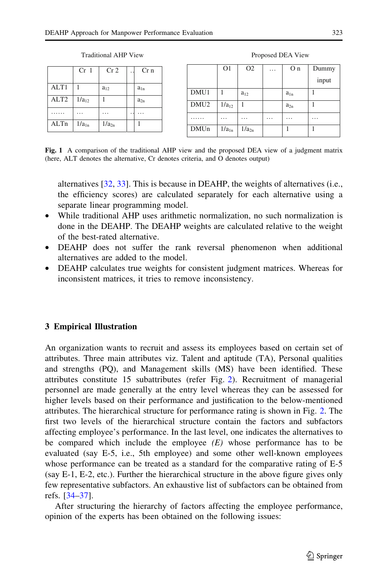<span id="page-6-0"></span>

|                  | Cr <sub>1</sub> | Cr <sub>2</sub>   | Cr <sub>n</sub> |
|------------------|-----------------|-------------------|-----------------|
| ALT <sub>1</sub> |                 | $a_{12}$          | $a_{1n}$        |
| ALT <sub>2</sub> | $1/a_{12}$      |                   | $a_{2n}$        |
|                  |                 |                   |                 |
|                  |                 |                   |                 |
| ALTn             | $1/a_{1n}$      | 1/a <sub>2n</sub> |                 |

Traditional AHP View Proposed DEA View

|                  | O <sub>1</sub>       | O <sub>2</sub> | . | O <sub>n</sub> | Dummy |
|------------------|----------------------|----------------|---|----------------|-------|
|                  |                      |                |   |                | input |
| DMU1             |                      | $a_{12}$       |   | $a_{1n}$       |       |
| DMU <sub>2</sub> | $1/a_{12}$           |                |   | $a_{2n}$       |       |
|                  | $\ddot{\phantom{0}}$ | .              | . |                | .     |
| <b>DMUn</b>      | $1/a_{1n}$           | $1/a_{2n}$     |   |                |       |

Fig. 1 A comparison of the traditional AHP view and the proposed DEA view of a judgment matrix (here, ALT denotes the alternative, Cr denotes criteria, and O denotes output)

alternatives [[32,](#page-15-0) [33\]](#page-15-0). This is because in DEAHP, the weights of alternatives (i.e., the efficiency scores) are calculated separately for each alternative using a separate linear programming model.

- While traditional AHP uses arithmetic normalization, no such normalization is done in the DEAHP. The DEAHP weights are calculated relative to the weight of the best-rated alternative.
- DEAHP does not suffer the rank reversal phenomenon when additional alternatives are added to the model.
- DEAHP calculates true weights for consistent judgment matrices. Whereas for inconsistent matrices, it tries to remove inconsistency.

# 3 Empirical Illustration

An organization wants to recruit and assess its employees based on certain set of attributes. Three main attributes viz. Talent and aptitude (TA), Personal qualities and strengths (PQ), and Management skills (MS) have been identified. These attributes constitute 15 subattributes (refer Fig. [2](#page-7-0)). Recruitment of managerial personnel are made generally at the entry level whereas they can be assessed for higher levels based on their performance and justification to the below-mentioned attributes. The hierarchical structure for performance rating is shown in Fig. [2](#page-7-0). The first two levels of the hierarchical structure contain the factors and subfactors affecting employee's performance. In the last level, one indicates the alternatives to be compared which include the employee  $(E)$  whose performance has to be evaluated (say E-5, i.e., 5th employee) and some other well-known employees whose performance can be treated as a standard for the comparative rating of E-5 (say E-1, E-2, etc.). Further the hierarchical structure in the above figure gives only few representative subfactors. An exhaustive list of subfactors can be obtained from refs. [\[34–37](#page-15-0)].

After structuring the hierarchy of factors affecting the employee performance, opinion of the experts has been obtained on the following issues: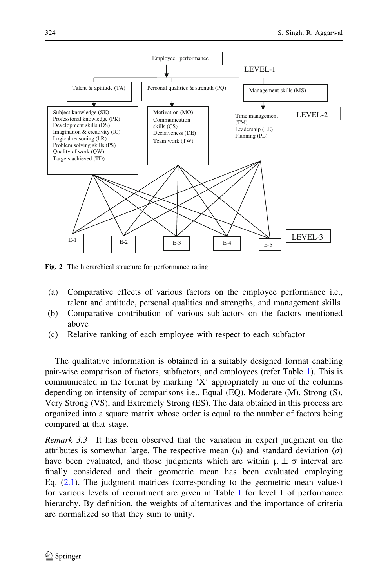<span id="page-7-0"></span>

Fig. 2 The hierarchical structure for performance rating

- (a) Comparative effects of various factors on the employee performance i.e., talent and aptitude, personal qualities and strengths, and management skills
- (b) Comparative contribution of various subfactors on the factors mentioned above
- (c) Relative ranking of each employee with respect to each subfactor

The qualitative information is obtained in a suitably designed format enabling pair-wise comparison of factors, subfactors, and employees (refer Table [1\)](#page-8-0). This is communicated in the format by marking 'X' appropriately in one of the columns depending on intensity of comparisons i.e., Equal (EQ), Moderate (M), Strong (S), Very Strong (VS), and Extremely Strong (ES). The data obtained in this process are organized into a square matrix whose order is equal to the number of factors being compared at that stage.

Remark 3.3 It has been observed that the variation in expert judgment on the attributes is somewhat large. The respective mean  $(\mu)$  and standard deviation  $(\sigma)$ have been evaluated, and those judgments which are within  $\mu \pm \sigma$  interval are finally considered and their geometric mean has been evaluated employing Eq. [\(2.1\)](#page-3-0). The judgment matrices (corresponding to the geometric mean values) for various levels of recruitment are given in Table [1](#page-8-0) for level 1 of performance hierarchy. By definition, the weights of alternatives and the importance of criteria are normalized so that they sum to unity.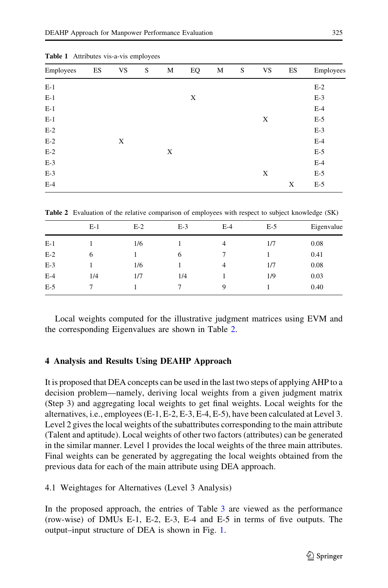| Employees | ES | <b>VS</b> | S | M | EQ | M | S | <b>VS</b> | ES | Employees |
|-----------|----|-----------|---|---|----|---|---|-----------|----|-----------|
| $E-1$     |    |           |   |   |    |   |   |           |    | $E-2$     |
| $E-1$     |    |           |   |   | X  |   |   |           |    | $E-3$     |
| $E-1$     |    |           |   |   |    |   |   |           |    | $E-4$     |
| $E-1$     |    |           |   |   |    |   |   | X         |    | $E-5$     |
| $E-2$     |    |           |   |   |    |   |   |           |    | $E-3$     |
| $E-2$     |    | X         |   |   |    |   |   |           |    | $E-4$     |
| $E-2$     |    |           |   | X |    |   |   |           |    | $E-5$     |
| $E-3$     |    |           |   |   |    |   |   |           |    | $E-4$     |
| $E-3$     |    |           |   |   |    |   |   | X         |    | $E-5$     |
| $E-4$     |    |           |   |   |    |   |   |           | X  | $E-5$     |

<span id="page-8-0"></span>Table 1 Attributes vis-a-vis employees

Table 2 Evaluation of the relative comparison of employees with respect to subject knowledge (SK)

|       | $E-1$ | $E-2$ | $E-3$ | $E-4$          | $E-5$ | Eigenvalue |
|-------|-------|-------|-------|----------------|-------|------------|
| $E-1$ |       | 1/6   |       | 4              | 1/7   | 0.08       |
| $E-2$ | 6     |       | 6     |                |       | 0.41       |
| $E-3$ |       | 1/6   |       | $\overline{4}$ | 1/7   | 0.08       |
| $E-4$ | 1/4   | 1/7   | 1/4   |                | 1/9   | 0.03       |
| $E-5$ |       |       |       | 9              |       | 0.40       |

Local weights computed for the illustrative judgment matrices using EVM and the corresponding Eigenvalues are shown in Table 2.

#### 4 Analysis and Results Using DEAHP Approach

It is proposed that DEA concepts can be used in the last two steps of applying AHP to a decision problem—namely, deriving local weights from a given judgment matrix (Step 3) and aggregating local weights to get final weights. Local weights for the alternatives, i.e., employees (E-1, E-2, E-3, E-4, E-5), have been calculated at Level 3. Level 2 gives the local weights of the subattributes corresponding to the main attribute (Talent and aptitude). Local weights of other two factors (attributes) can be generated in the similar manner. Level 1 provides the local weights of the three main attributes. Final weights can be generated by aggregating the local weights obtained from the previous data for each of the main attribute using DEA approach.

## 4.1 Weightages for Alternatives (Level 3 Analysis)

In the proposed approach, the entries of Table [3](#page-9-0) are viewed as the performance (row-wise) of DMUs E-1, E-2, E-3, E-4 and E-5 in terms of five outputs. The output–input structure of DEA is shown in Fig. [1.](#page-6-0)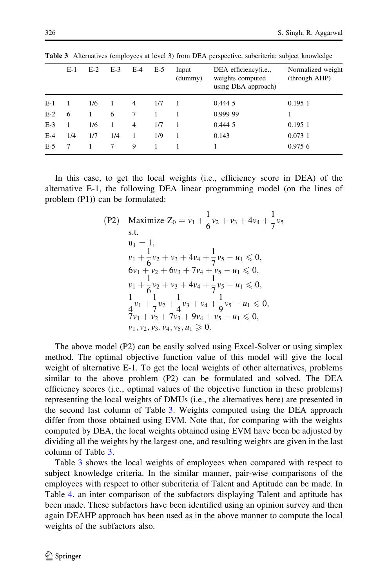|       | $E-1$ | $E-2$ | $E-3$ | $E-4$ | $E-5$ | Input<br>(dummy) | DEA efficiency( <i>i.e.</i> ,<br>weights computed<br>using DEA approach) | Normalized weight<br>(through AHP) |
|-------|-------|-------|-------|-------|-------|------------------|--------------------------------------------------------------------------|------------------------------------|
| $E-1$ |       | 1/6   |       | 4     | 1/7   |                  | 0.4445                                                                   | 0.1951                             |
| $E-2$ | 6     |       | 6     |       |       |                  | 0.999 99                                                                 |                                    |
| $E-3$ | 1     | 1/6   |       | 4     | 1/7   |                  | 0.4445                                                                   | 0.1951                             |
| $E-4$ | 1/4   | 1/7   | 1/4   |       | 1/9   |                  | 0.143                                                                    | 0.0731                             |
| $E-5$ |       |       |       | 9     |       |                  |                                                                          | 0.9756                             |
|       |       |       |       |       |       |                  |                                                                          |                                    |

<span id="page-9-0"></span>Table 3 Alternatives (employees at level 3) from DEA perspective, subcriteria: subject knowledge

In this case, to get the local weights (i.e., efficiency score in DEA) of the alternative E-1, the following DEA linear programming model (on the lines of problem (P1)) can be formulated:

(P2) Maximize 
$$
Z_0 = v_1 + \frac{1}{6}v_2 + v_3 + 4v_4 + \frac{1}{7}v_5
$$
  
\ns.t.  
\n
$$
u_1 = 1,
$$
\n
$$
v_1 + \frac{1}{6}v_2 + v_3 + 4v_4 + \frac{1}{7}v_5 - u_1 \le 0,
$$
\n
$$
6v_1 + v_2 + 6v_3 + 7v_4 + v_5 - u_1 \le 0,
$$
\n
$$
v_1 + \frac{1}{6}v_2 + v_3 + 4v_4 + \frac{1}{7}v_5 - u_1 \le 0,
$$
\n
$$
\frac{1}{4}v_1 + \frac{1}{7}v_2 + \frac{1}{4}v_3 + v_4 + \frac{1}{9}v_5 - u_1 \le 0,
$$
\n
$$
\frac{7}{7}v_1 + v_2 + 7v_3 + 9v_4 + v_5 - u_1 \le 0,
$$
\n
$$
v_1, v_2, v_3, v_4, v_5, u_1 \ge 0.
$$

The above model (P2) can be easily solved using Excel-Solver or using simplex method. The optimal objective function value of this model will give the local weight of alternative E-1. To get the local weights of other alternatives, problems similar to the above problem (P2) can be formulated and solved. The DEA efficiency scores (i.e., optimal values of the objective function in these problems) representing the local weights of DMUs (i.e., the alternatives here) are presented in the second last column of Table 3. Weights computed using the DEA approach differ from those obtained using EVM. Note that, for comparing with the weights computed by DEA, the local weights obtained using EVM have been be adjusted by dividing all the weights by the largest one, and resulting weights are given in the last column of Table 3.

Table 3 shows the local weights of employees when compared with respect to subject knowledge criteria. In the similar manner, pair-wise comparisons of the employees with respect to other subcriteria of Talent and Aptitude can be made. In Table [4](#page-11-0), an inter comparison of the subfactors displaying Talent and aptitude has been made. These subfactors have been identified using an opinion survey and then again DEAHP approach has been used as in the above manner to compute the local weights of the subfactors also.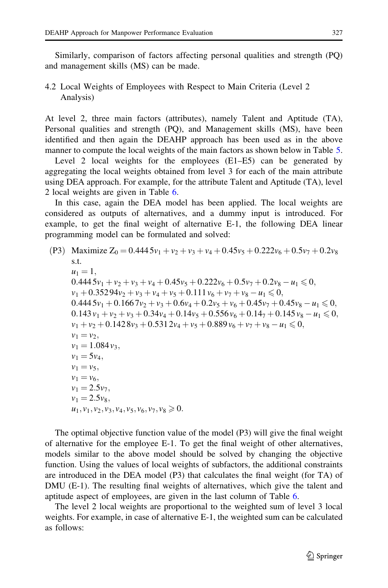Similarly, comparison of factors affecting personal qualities and strength (PQ) and management skills (MS) can be made.

# 4.2 Local Weights of Employees with Respect to Main Criteria (Level 2 Analysis)

At level 2, three main factors (attributes), namely Talent and Aptitude (TA), Personal qualities and strength (PQ), and Management skills (MS), have been identified and then again the DEAHP approach has been used as in the above manner to compute the local weights of the main factors as shown below in Table [5.](#page-12-0)

Level 2 local weights for the employees (E1–E5) can be generated by aggregating the local weights obtained from level 3 for each of the main attribute using DEA approach. For example, for the attribute Talent and Aptitude (TA), level 2 local weights are given in Table [6](#page-12-0).

In this case, again the DEA model has been applied. The local weights are considered as outputs of alternatives, and a dummy input is introduced. For example, to get the final weight of alternative E-1, the following DEA linear programming model can be formulated and solved:

(P3) Maximize 
$$
Z_0 = 0.4445v_1 + v_2 + v_3 + v_4 + 0.45v_5 + 0.222v_6 + 0.5v_7 + 0.2v_8
$$
 s.t.

\n $u_1 = 1$ ,

\n $0.4445v_1 + v_2 + v_3 + v_4 + 0.45v_5 + 0.222v_6 + 0.5v_7 + 0.2v_8 - u_1 \leq 0$ ,

\n $v_1 + 0.35294v_2 + v_3 + v_4 + v_5 + 0.111v_6 + v_7 + v_8 - u_1 \leq 0$ ,

\n $0.4445v_1 + 0.1667v_2 + v_3 + 0.6v_4 + 0.2v_5 + v_6 + 0.45v_7 + 0.45v_8 - u_1 \leq 0$ ,

\n $0.143v_1 + v_2 + v_3 + 0.34v_4 + 0.14v_5 + 0.556v_6 + 0.147 + 0.145v_8 - u_1 \leq 0$ ,

\n $v_1 + v_2 + 0.1428v_3 + 0.5312v_4 + v_5 + 0.889v_6 + v_7 + v_8 - u_1 \leq 0$ ,

\n $v_1 = v_2$ ,

\n $v_1 = 1.084v_3$ ,

\n $v_1 = 5v_4$ ,

\n $v_1 = 5v_4$ ,

\n $v_1 = 2.5v_7$ ,

\n $v_1 = 2.5v_8$ ,

\n $u_1, v_1, v_2, v_3, v_4, v_5, v_6, v_7, v_8 \geq 0$ .

The optimal objective function value of the model (P3) will give the final weight of alternative for the employee E-1. To get the final weight of other alternatives, models similar to the above model should be solved by changing the objective function. Using the values of local weights of subfactors, the additional constraints are introduced in the DEA model (P3) that calculates the final weight (for TA) of DMU (E-1). The resulting final weights of alternatives, which give the talent and aptitude aspect of employees, are given in the last column of Table [6.](#page-12-0)

The level 2 local weights are proportional to the weighted sum of level 3 local weights. For example, in case of alternative E-1, the weighted sum can be calculated as follows: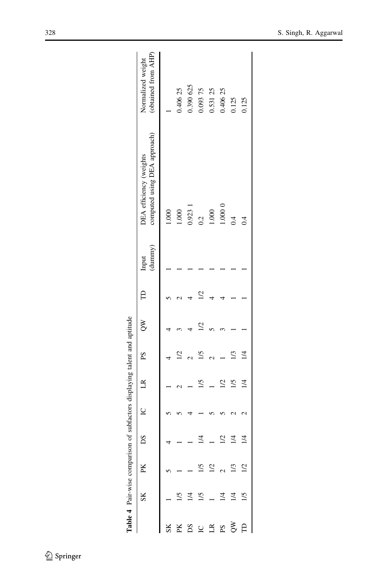<span id="page-11-0"></span>

|    |                 | Table 4 Pair-wise comparison of subfactors displaying talent and aptitude |               |                |                |            |          |              |                  |                                                         |                                          |
|----|-----------------|---------------------------------------------------------------------------|---------------|----------------|----------------|------------|----------|--------------|------------------|---------------------------------------------------------|------------------------------------------|
|    | SK              | PK                                                                        | DS            | $\overline{C}$ | $\Box$         | $_{\rm S}$ | $\infty$ | $\mathbf{r}$ | (dumny)<br>Input | computed using DEA approach)<br>DEA efficiency (weights | (obtained from AHP)<br>Normalized weight |
|    |                 |                                                                           |               |                |                |            |          |              |                  | 1.000                                                   |                                          |
|    |                 |                                                                           |               |                |                |            |          |              |                  | 1.000                                                   | 0.406 25                                 |
| Sq |                 |                                                                           |               |                |                |            |          |              |                  | 0.9231                                                  | 0.390 625                                |
|    | 1/5             |                                                                           | $\geq$        |                | 1/5            | 1/5        |          |              |                  | $\ddot{0}$                                              | 0.093 75                                 |
| É  |                 | 1/2                                                                       |               |                |                |            |          |              |                  | 1.000                                                   | 0.531 25                                 |
| Sd |                 |                                                                           |               |                | $\overline{2}$ |            |          |              |                  | 1.00000                                                 | 0.406 25                                 |
| ξ  | $\overline{14}$ |                                                                           | $\frac{1}{4}$ |                | 1/5            |            |          |              |                  | $\ddot{0}$                                              | 0.125                                    |
| Ê  |                 |                                                                           | 1/4           |                | 1/4            | $\geq$     |          |              |                  | $\ddot{0}$                                              | 0.125                                    |
|    |                 |                                                                           |               |                |                |            |          |              |                  |                                                         |                                          |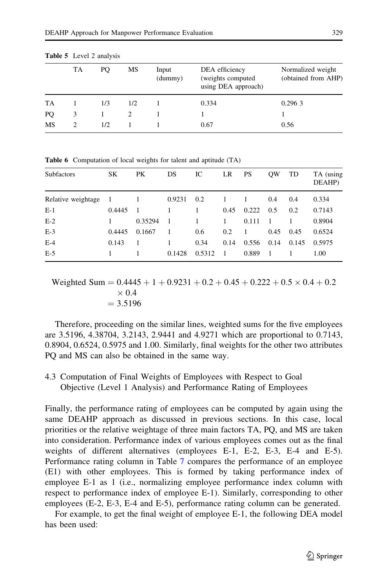|           | TA | PO  | МS  | Input<br>(dummy) | DEA efficiency<br>(weights computed)<br>using DEA approach) | Normalized weight<br>(obtained from AHP) |
|-----------|----|-----|-----|------------------|-------------------------------------------------------------|------------------------------------------|
| <b>TA</b> |    | 1/3 | 1/2 |                  | 0.334                                                       | 0.2963                                   |
| PO        |    |     |     |                  |                                                             |                                          |
| MS        |    | 1/2 |     |                  | 0.67                                                        | 0.56                                     |

<span id="page-12-0"></span>Table 5 Level 2 analysis

| <b>Subfactors</b>    | <b>SK</b> | PK      | DS     | IC     | LR   | <b>PS</b> | <b>OW</b> | TD    | TA (using<br>DEAHP) |
|----------------------|-----------|---------|--------|--------|------|-----------|-----------|-------|---------------------|
| Relative weightage 1 |           |         | 0.9231 | 0.2    | 1    |           | 0.4       | 0.4   | 0.334               |
| $E-1$                | 0.4445    |         | 1      | 1      | 0.45 | 0.222     | 0.5       | 0.2   | 0.7143              |
| $E-2$                |           | 0.35294 | -1     | 1      | 1    | 0.111     | -1        |       | 0.8904              |
| $E-3$                | 0.4445    | 0.1667  | 1      | 0.6    | 0.2  | -1        | 0.45      | 0.45  | 0.6524              |
| $E-4$                | 0.143     |         |        | 0.34   | 0.14 | 0.556     | 0.14      | 0.145 | 0.5975              |
| $E-5$                |           |         | 0.1428 | 0.5312 | -1   | 0.889     | -1        |       | 1.00                |

Table 6 Computation of local weights for talent and aptitude (TA)

Weighted Sum  $= 0.4445 + 1 + 0.9231 + 0.2 + 0.45 + 0.222 + 0.5 \times 0.4 + 0.2$  $\times 0.4$  $= 3.5196$ 

Therefore, proceeding on the similar lines, weighted sums for the five employees are 3.5196, 4.38704, 3.2143, 2.9441 and 4.9271 which are proportional to 0.7143, 0.8904, 0.6524, 0.5975 and 1.00. Similarly, final weights for the other two attributes PQ and MS can also be obtained in the same way.

# 4.3 Computation of Final Weights of Employees with Respect to Goal Objective (Level 1 Analysis) and Performance Rating of Employees

Finally, the performance rating of employees can be computed by again using the same DEAHP approach as discussed in previous sections. In this case, local priorities or the relative weightage of three main factors TA, PQ, and MS are taken into consideration. Performance index of various employees comes out as the final weights of different alternatives (employees E-1, E-2, E-3, E-4 and E-5). Performance rating column in Table [7](#page-13-0) compares the performance of an employee (E1) with other employees. This is formed by taking performance index of employee E-1 as 1 (i.e., normalizing employee performance index column with respect to performance index of employee E-1). Similarly, corresponding to other employees (E-2, E-3, E-4 and E-5), performance rating column can be generated.

For example, to get the final weight of employee E-1, the following DEA model has been used: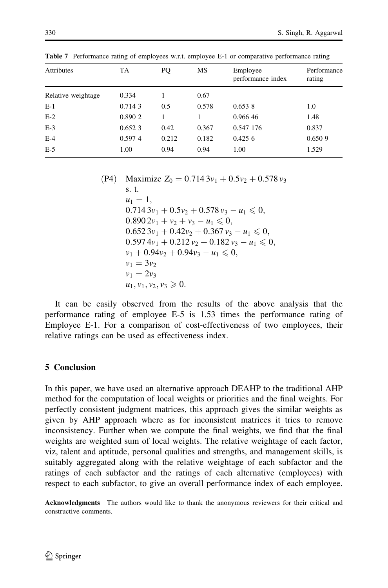| <b>Attributes</b>  | <b>TA</b> | PQ    | MS    | Employee<br>performance index | Performance<br>rating |
|--------------------|-----------|-------|-------|-------------------------------|-----------------------|
| Relative weightage | 0.334     |       | 0.67  |                               |                       |
| $E-1$              | 0.714 3   | 0.5   | 0.578 | 0.6538                        | 1.0                   |
| $E-2$              | 0.890 2   |       |       | 0.966 46                      | 1.48                  |
| $E-3$              | 0.6523    | 0.42  | 0.367 | 0.547 176                     | 0.837                 |
| $E-4$              | 0.5974    | 0.212 | 0.182 | $0.425\;6$                    | 0.6509                |
| $E-5$              | 1.00      | 0.94  | 0.94  | 1.00                          | 1.529                 |

<span id="page-13-0"></span>Table 7 Performance rating of employees w.r.t. employee E-1 or comparative performance rating

(P4) Maximize 
$$
Z_0 = 0.7143v_1 + 0.5v_2 + 0.578v_3
$$
  
\ns. t.  
\n $u_1 = 1$ ,  
\n $0.7143v_1 + 0.5v_2 + 0.578v_3 - u_1 \le 0$ ,  
\n $0.8902v_1 + v_2 + v_3 - u_1 \le 0$ ,  
\n $0.6523v_1 + 0.42v_2 + 0.367v_3 - u_1 \le 0$ ,  
\n $0.5974v_1 + 0.212v_2 + 0.182v_3 - u_1 \le 0$ ,  
\n $v_1 + 0.94v_2 + 0.94v_3 - u_1 \le 0$ ,  
\n $v_1 = 3v_2$   
\n $v_1 = 2v_3$   
\n $u_1, v_1, v_2, v_3 ≥ 0$ .

It can be easily observed from the results of the above analysis that the performance rating of employee E-5 is 1.53 times the performance rating of Employee E-1. For a comparison of cost-effectiveness of two employees, their relative ratings can be used as effectiveness index.

# 5 Conclusion

In this paper, we have used an alternative approach DEAHP to the traditional AHP method for the computation of local weights or priorities and the final weights. For perfectly consistent judgment matrices, this approach gives the similar weights as given by AHP approach where as for inconsistent matrices it tries to remove inconsistency. Further when we compute the final weights, we find that the final weights are weighted sum of local weights. The relative weightage of each factor, viz, talent and aptitude, personal qualities and strengths, and management skills, is suitably aggregated along with the relative weightage of each subfactor and the ratings of each subfactor and the ratings of each alternative (employees) with respect to each subfactor, to give an overall performance index of each employee.

Acknowledgments The authors would like to thank the anonymous reviewers for their critical and constructive comments.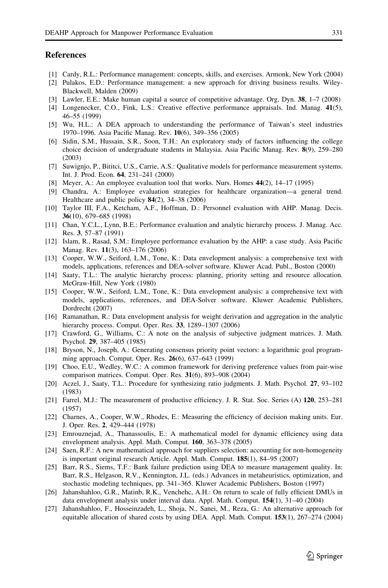#### <span id="page-14-0"></span>**References**

- [1] Cardy, R.L.: Performance management: concepts, skills, and exercises. Armonk, New York (2004)
- [2] Pulakos, E.D.: Performance management: a new approach for driving business results. Wiley-Blackwell, Malden (2009)
- [3] Lawler, E.E.: Make human capital a source of competitive advantage. Org. Dyn. 38, 1–7 (2008)
- [4] Longenecker, C.O., Fink, L.S.: Creative effective performance appraisals. Ind. Manag. 41(5), 46–55 (1999)
- [5] Wu, H.L.: A DEA approach to understanding the performance of Taiwan's steel industries 1970–1996. Asia Pacific Manag. Rev. 10(6), 349–356 (2005)
- [6] Sidin, S.M., Hussain, S.R., Soon, T.H.: An exploratory study of factors influencing the college choice decision of undergraduate students in Malaysia. Asia Pacific Manag. Rev. 8(9), 259–280 (2003)
- [7] Suwignjo, P., Bititci, U.S., Carrie, A.S.: Qualitative models for performance measurement systems. Int. J. Prod. Econ. 64, 231–241 (2000)
- [8] Meyer, A.: An employee evaluation tool that works. Nurs. Homes 44(2), 14–17 (1995)
- [9] Chandra, A.: Employee evaluation strategies for healthcare organization—a general trend. Healthcare and public policy 84(2), 34–38 (2006)
- [10] Taylor III, F.A., Ketcham, A.F., Hoffman, D.: Personnel evaluation with AHP. Manag. Decis. 36(10), 679–685 (1998)
- [11] Chan, Y.C.L., Lynn, B.E.: Performance evaluation and analytic hierarchy process. J. Manag. Acc. Res. 3, 57–87 (1991)
- [12] Islam, R., Rasad, S.M.: Employee performance evaluation by the AHP: a case study. Asia Pacific Manag. Rev. 11(3), 163–176 (2006)
- [13] Cooper, W.W., Seiford, L.M., Tone, K.: Data envelopment analysis: a comprehensive text with models, applications, references and DEA-solver software. Kluwer Acad. Publ., Boston (2000)
- [14] Saaty, T.L.: The analytic hierarchy process: planning, priority setting and resource allocation. McGraw-Hill, New York (1980)
- [15] Cooper, W.W., Seiford, L.M., Tone, K.: Data envelopment analysis: a comprehensive text with models, applications, references, and DEA-Solver software. Kluwer Academic Publishers, Dordrecht (2007)
- [16] Ramanathan, R.: Data envelopment analysis for weight derivation and aggregation in the analytic hierarchy process. Comput. Oper. Res. 33, 1289–1307 (2006)
- [17] Crawford, G., Williams, C.: A note on the analysis of subjective judgment matrices. J. Math. Psychol. 29, 387–405 (1985)
- [18] Bryson, N., Joseph, A.: Generating consensus priority point vectors: a logarithmic goal programming approach. Comput. Oper. Res. 26(6), 637–643 (1999)
- [19] Choo, E.U., Wedley, W.C.: A common framework for deriving preference values from pair-wise comparison matrices. Comput. Oper. Res. 31(6), 893–908 (2004)
- [20] Aczel, J., Saaty, T.L.: Procedure for synthesizing ratio judgments. J. Math. Psychol. 27, 93–102 (1983)
- [21] Farrel, M.J.: The measurement of productive efficiency. J. R. Stat. Soc. Series (A) 120, 253–281 (1957)
- [22] Charnes, A., Cooper, W.W., Rhodes, E.: Measuring the efficiency of decision making units. Eur. J. Oper. Res. 2, 429–444 (1978)
- [23] Emrouznejad, A., Thanassoulis, E.: A mathematical model for dynamic efficiency using data envelopment analysis. Appl. Math. Comput. 160, 363–378 (2005)
- [24] Saen, R.F.: A new mathematical approach for suppliers selection: accounting for non-homogeneity is important original research Article. Appl. Math. Comput. 185(1), 84–95 (2007)
- [25] Barr, R.S., Siems, T.F.: Bank failure prediction using DEA to measure management quality. In: Barr, R.S., Helgason, R.V., Kennington, J.L. (eds.) Advances in metaheuristics, optimization, and stochastic modeling techniques, pp. 341–365. Kluwer Academic Publishers, Boston (1997)
- [26] Jahanshahloo, G.R., Matinb, R.K., Venchehc, A.H.: On return to scale of fully efficient DMUs in data envelopment analysis under interval data. Appl. Math. Comput. 154(1), 31–40 (2004)
- [27] Jahanshahloo, F., Hosseinzadeh, L., Shoja, N., Sanei, M., Reza, G.: An alternative approach for equitable allocation of shared costs by using DEA. Appl. Math. Comput. 153(1), 267–274 (2004)